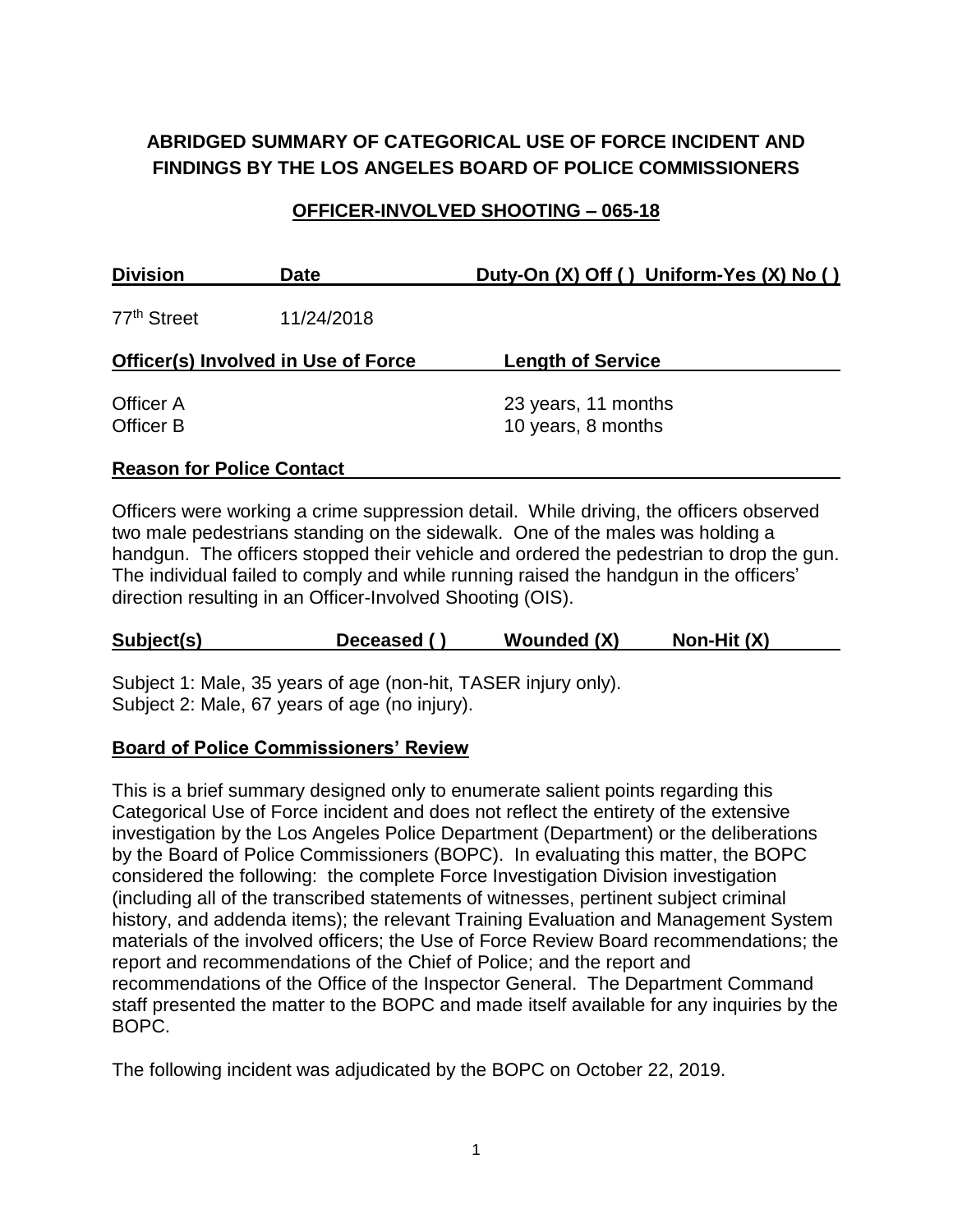# **ABRIDGED SUMMARY OF CATEGORICAL USE OF FORCE INCIDENT AND FINDINGS BY THE LOS ANGELES BOARD OF POLICE COMMISSIONERS**

## **OFFICER-INVOLVED SHOOTING – 065-18**

| <b>Division</b>                            | <b>Date</b> | Duty-On (X) Off () Uniform-Yes (X) No ()  |
|--------------------------------------------|-------------|-------------------------------------------|
| 77 <sup>th</sup> Street                    | 11/24/2018  |                                           |
| <b>Officer(s) Involved in Use of Force</b> |             | <b>Length of Service</b>                  |
| Officer A<br>Officer B                     |             | 23 years, 11 months<br>10 years, 8 months |

### **Reason for Police Contact**

Officers were working a crime suppression detail. While driving, the officers observed two male pedestrians standing on the sidewalk. One of the males was holding a handgun. The officers stopped their vehicle and ordered the pedestrian to drop the gun. The individual failed to comply and while running raised the handgun in the officers' direction resulting in an Officer-Involved Shooting (OIS).

| Non-Hit $(X)$<br>Subject(s)<br>Wounded (X)<br>Deceased () |
|-----------------------------------------------------------|
|-----------------------------------------------------------|

Subject 1: Male, 35 years of age (non-hit, TASER injury only). Subject 2: Male, 67 years of age (no injury).

### **Board of Police Commissioners' Review**

This is a brief summary designed only to enumerate salient points regarding this Categorical Use of Force incident and does not reflect the entirety of the extensive investigation by the Los Angeles Police Department (Department) or the deliberations by the Board of Police Commissioners (BOPC). In evaluating this matter, the BOPC considered the following: the complete Force Investigation Division investigation (including all of the transcribed statements of witnesses, pertinent subject criminal history, and addenda items); the relevant Training Evaluation and Management System materials of the involved officers; the Use of Force Review Board recommendations; the report and recommendations of the Chief of Police; and the report and recommendations of the Office of the Inspector General. The Department Command staff presented the matter to the BOPC and made itself available for any inquiries by the BOPC.

The following incident was adjudicated by the BOPC on October 22, 2019.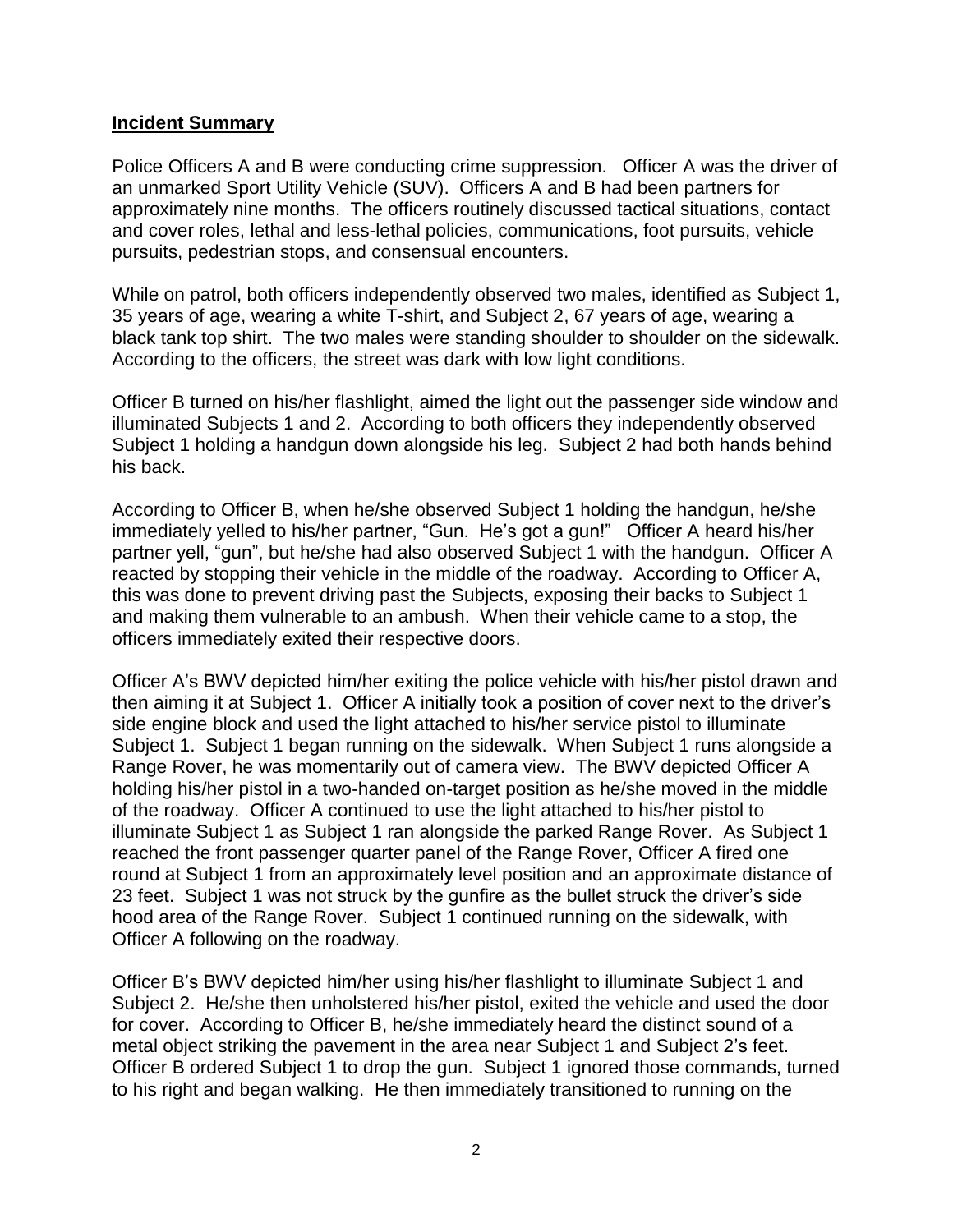#### **Incident Summary**

Police Officers A and B were conducting crime suppression. Officer A was the driver of an unmarked Sport Utility Vehicle (SUV). Officers A and B had been partners for approximately nine months. The officers routinely discussed tactical situations, contact and cover roles, lethal and less-lethal policies, communications, foot pursuits, vehicle pursuits, pedestrian stops, and consensual encounters.

While on patrol, both officers independently observed two males, identified as Subject 1, 35 years of age, wearing a white T-shirt, and Subject 2, 67 years of age, wearing a black tank top shirt. The two males were standing shoulder to shoulder on the sidewalk. According to the officers, the street was dark with low light conditions.

Officer B turned on his/her flashlight, aimed the light out the passenger side window and illuminated Subjects 1 and 2. According to both officers they independently observed Subject 1 holding a handgun down alongside his leg. Subject 2 had both hands behind his back.

According to Officer B, when he/she observed Subject 1 holding the handgun, he/she immediately yelled to his/her partner, "Gun. He's got a gun!" Officer A heard his/her partner yell, "gun", but he/she had also observed Subject 1 with the handgun. Officer A reacted by stopping their vehicle in the middle of the roadway. According to Officer A, this was done to prevent driving past the Subjects, exposing their backs to Subject 1 and making them vulnerable to an ambush. When their vehicle came to a stop, the officers immediately exited their respective doors.

Officer A's BWV depicted him/her exiting the police vehicle with his/her pistol drawn and then aiming it at Subject 1. Officer A initially took a position of cover next to the driver's side engine block and used the light attached to his/her service pistol to illuminate Subject 1. Subject 1 began running on the sidewalk. When Subject 1 runs alongside a Range Rover, he was momentarily out of camera view. The BWV depicted Officer A holding his/her pistol in a two-handed on-target position as he/she moved in the middle of the roadway. Officer A continued to use the light attached to his/her pistol to illuminate Subject 1 as Subject 1 ran alongside the parked Range Rover. As Subject 1 reached the front passenger quarter panel of the Range Rover, Officer A fired one round at Subject 1 from an approximately level position and an approximate distance of 23 feet. Subject 1 was not struck by the gunfire as the bullet struck the driver's side hood area of the Range Rover. Subject 1 continued running on the sidewalk, with Officer A following on the roadway.

Officer B's BWV depicted him/her using his/her flashlight to illuminate Subject 1 and Subject 2. He/she then unholstered his/her pistol, exited the vehicle and used the door for cover. According to Officer B, he/she immediately heard the distinct sound of a metal object striking the pavement in the area near Subject 1 and Subject 2's feet. Officer B ordered Subject 1 to drop the gun. Subject 1 ignored those commands, turned to his right and began walking. He then immediately transitioned to running on the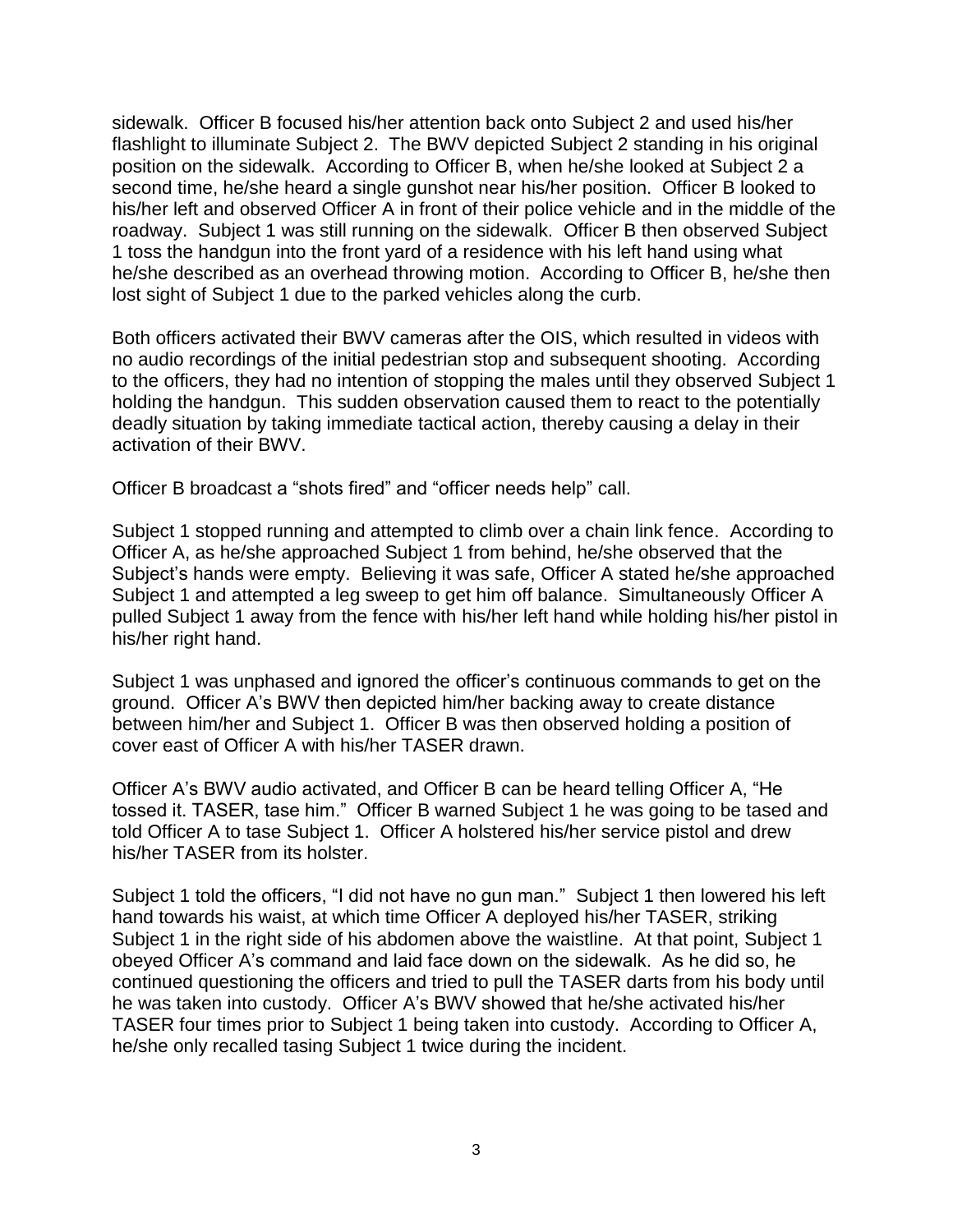sidewalk. Officer B focused his/her attention back onto Subject 2 and used his/her flashlight to illuminate Subject 2. The BWV depicted Subject 2 standing in his original position on the sidewalk. According to Officer B, when he/she looked at Subject 2 a second time, he/she heard a single gunshot near his/her position. Officer B looked to his/her left and observed Officer A in front of their police vehicle and in the middle of the roadway. Subject 1 was still running on the sidewalk. Officer B then observed Subject 1 toss the handgun into the front yard of a residence with his left hand using what he/she described as an overhead throwing motion. According to Officer B, he/she then lost sight of Subject 1 due to the parked vehicles along the curb.

Both officers activated their BWV cameras after the OIS, which resulted in videos with no audio recordings of the initial pedestrian stop and subsequent shooting. According to the officers, they had no intention of stopping the males until they observed Subject 1 holding the handgun. This sudden observation caused them to react to the potentially deadly situation by taking immediate tactical action, thereby causing a delay in their activation of their BWV.

Officer B broadcast a "shots fired" and "officer needs help" call.

Subject 1 stopped running and attempted to climb over a chain link fence. According to Officer A, as he/she approached Subject 1 from behind, he/she observed that the Subject's hands were empty. Believing it was safe, Officer A stated he/she approached Subject 1 and attempted a leg sweep to get him off balance. Simultaneously Officer A pulled Subject 1 away from the fence with his/her left hand while holding his/her pistol in his/her right hand.

Subject 1 was unphased and ignored the officer's continuous commands to get on the ground. Officer A's BWV then depicted him/her backing away to create distance between him/her and Subject 1. Officer B was then observed holding a position of cover east of Officer A with his/her TASER drawn.

Officer A's BWV audio activated, and Officer B can be heard telling Officer A, "He tossed it. TASER, tase him." Officer B warned Subject 1 he was going to be tased and told Officer A to tase Subject 1. Officer A holstered his/her service pistol and drew his/her TASER from its holster.

Subject 1 told the officers, "I did not have no gun man." Subject 1 then lowered his left hand towards his waist, at which time Officer A deployed his/her TASER, striking Subject 1 in the right side of his abdomen above the waistline. At that point, Subject 1 obeyed Officer A's command and laid face down on the sidewalk. As he did so, he continued questioning the officers and tried to pull the TASER darts from his body until he was taken into custody. Officer A's BWV showed that he/she activated his/her TASER four times prior to Subject 1 being taken into custody. According to Officer A, he/she only recalled tasing Subject 1 twice during the incident.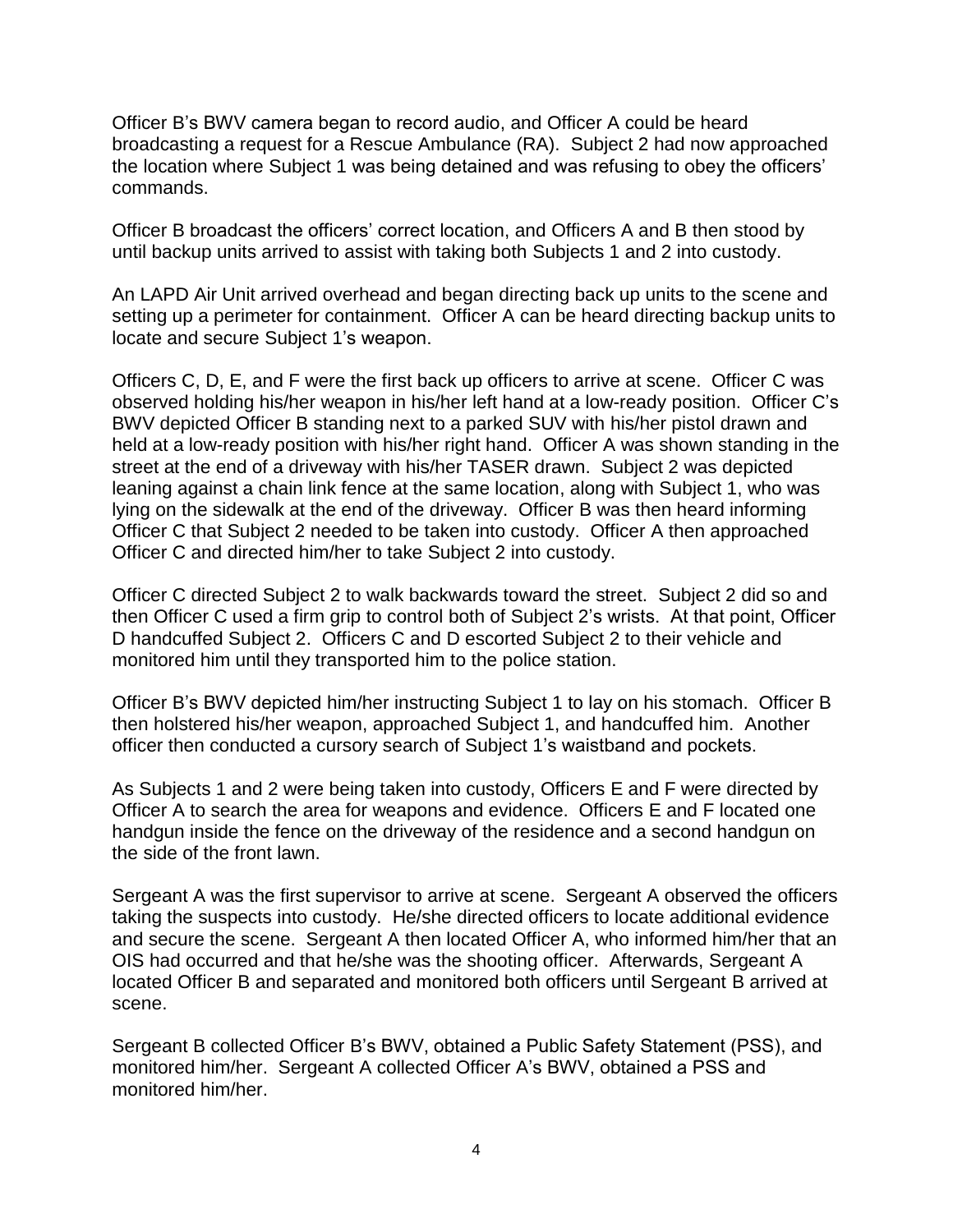Officer B's BWV camera began to record audio, and Officer A could be heard broadcasting a request for a Rescue Ambulance (RA). Subject 2 had now approached the location where Subject 1 was being detained and was refusing to obey the officers' commands.

Officer B broadcast the officers' correct location, and Officers A and B then stood by until backup units arrived to assist with taking both Subjects 1 and 2 into custody.

An LAPD Air Unit arrived overhead and began directing back up units to the scene and setting up a perimeter for containment. Officer A can be heard directing backup units to locate and secure Subject 1's weapon.

Officers C, D, E, and F were the first back up officers to arrive at scene. Officer C was observed holding his/her weapon in his/her left hand at a low-ready position. Officer C's BWV depicted Officer B standing next to a parked SUV with his/her pistol drawn and held at a low-ready position with his/her right hand. Officer A was shown standing in the street at the end of a driveway with his/her TASER drawn. Subject 2 was depicted leaning against a chain link fence at the same location, along with Subject 1, who was lying on the sidewalk at the end of the driveway. Officer B was then heard informing Officer C that Subject 2 needed to be taken into custody. Officer A then approached Officer C and directed him/her to take Subject 2 into custody.

Officer C directed Subject 2 to walk backwards toward the street. Subject 2 did so and then Officer C used a firm grip to control both of Subject 2's wrists. At that point, Officer D handcuffed Subject 2. Officers C and D escorted Subject 2 to their vehicle and monitored him until they transported him to the police station.

Officer B's BWV depicted him/her instructing Subject 1 to lay on his stomach. Officer B then holstered his/her weapon, approached Subject 1, and handcuffed him. Another officer then conducted a cursory search of Subject 1's waistband and pockets.

As Subjects 1 and 2 were being taken into custody, Officers E and F were directed by Officer A to search the area for weapons and evidence. Officers E and F located one handgun inside the fence on the driveway of the residence and a second handgun on the side of the front lawn.

Sergeant A was the first supervisor to arrive at scene. Sergeant A observed the officers taking the suspects into custody. He/she directed officers to locate additional evidence and secure the scene. Sergeant A then located Officer A, who informed him/her that an OIS had occurred and that he/she was the shooting officer. Afterwards, Sergeant A located Officer B and separated and monitored both officers until Sergeant B arrived at scene.

Sergeant B collected Officer B's BWV, obtained a Public Safety Statement (PSS), and monitored him/her. Sergeant A collected Officer A's BWV, obtained a PSS and monitored him/her.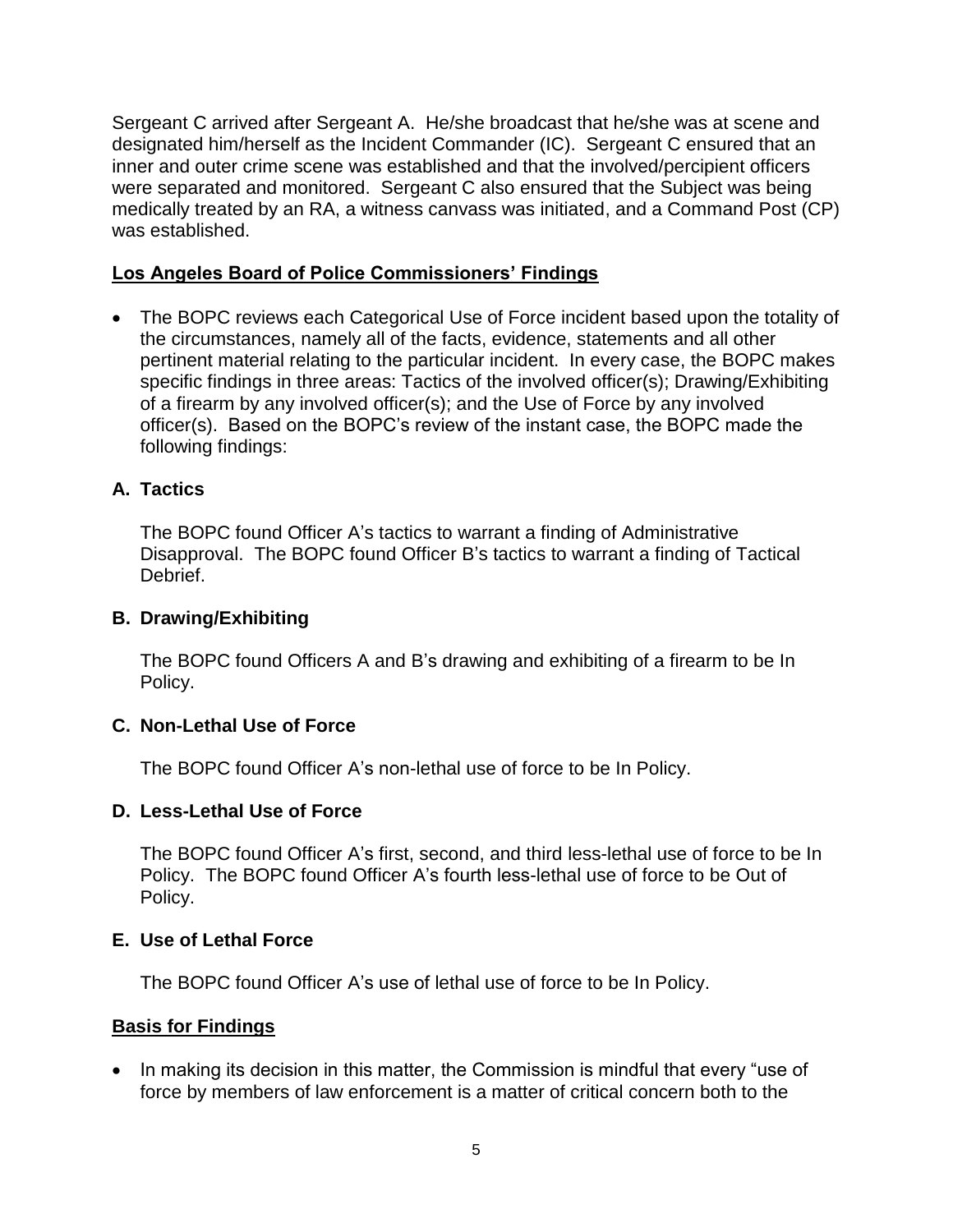Sergeant C arrived after Sergeant A. He/she broadcast that he/she was at scene and designated him/herself as the Incident Commander (IC). Sergeant C ensured that an inner and outer crime scene was established and that the involved/percipient officers were separated and monitored. Sergeant C also ensured that the Subject was being medically treated by an RA, a witness canvass was initiated, and a Command Post (CP) was established.

## **Los Angeles Board of Police Commissioners' Findings**

• The BOPC reviews each Categorical Use of Force incident based upon the totality of the circumstances, namely all of the facts, evidence, statements and all other pertinent material relating to the particular incident. In every case, the BOPC makes specific findings in three areas: Tactics of the involved officer(s); Drawing/Exhibiting of a firearm by any involved officer(s); and the Use of Force by any involved officer(s). Based on the BOPC's review of the instant case, the BOPC made the following findings:

## **A. Tactics**

The BOPC found Officer A's tactics to warrant a finding of Administrative Disapproval. The BOPC found Officer B's tactics to warrant a finding of Tactical Debrief.

### **B. Drawing/Exhibiting**

The BOPC found Officers A and B's drawing and exhibiting of a firearm to be In Policy.

### **C. Non-Lethal Use of Force**

The BOPC found Officer A's non-lethal use of force to be In Policy.

### **D. Less-Lethal Use of Force**

The BOPC found Officer A's first, second, and third less-lethal use of force to be In Policy. The BOPC found Officer A's fourth less-lethal use of force to be Out of Policy.

## **E. Use of Lethal Force**

The BOPC found Officer A's use of lethal use of force to be In Policy.

## **Basis for Findings**

• In making its decision in this matter, the Commission is mindful that every "use of force by members of law enforcement is a matter of critical concern both to the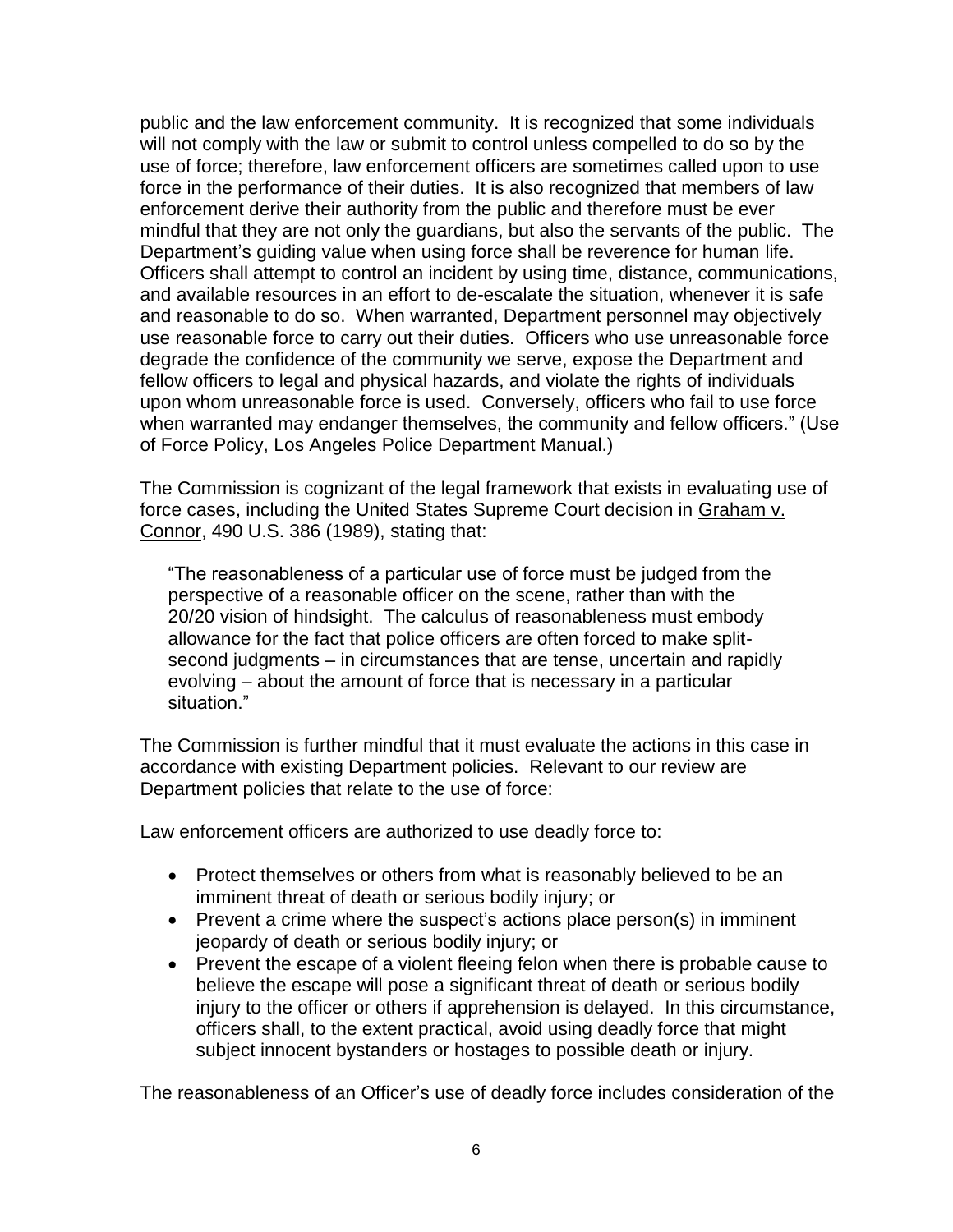public and the law enforcement community. It is recognized that some individuals will not comply with the law or submit to control unless compelled to do so by the use of force; therefore, law enforcement officers are sometimes called upon to use force in the performance of their duties. It is also recognized that members of law enforcement derive their authority from the public and therefore must be ever mindful that they are not only the guardians, but also the servants of the public. The Department's guiding value when using force shall be reverence for human life. Officers shall attempt to control an incident by using time, distance, communications, and available resources in an effort to de-escalate the situation, whenever it is safe and reasonable to do so. When warranted, Department personnel may objectively use reasonable force to carry out their duties. Officers who use unreasonable force degrade the confidence of the community we serve, expose the Department and fellow officers to legal and physical hazards, and violate the rights of individuals upon whom unreasonable force is used. Conversely, officers who fail to use force when warranted may endanger themselves, the community and fellow officers." (Use of Force Policy, Los Angeles Police Department Manual.)

The Commission is cognizant of the legal framework that exists in evaluating use of force cases, including the United States Supreme Court decision in Graham v. Connor, 490 U.S. 386 (1989), stating that:

"The reasonableness of a particular use of force must be judged from the perspective of a reasonable officer on the scene, rather than with the 20/20 vision of hindsight. The calculus of reasonableness must embody allowance for the fact that police officers are often forced to make splitsecond judgments – in circumstances that are tense, uncertain and rapidly evolving – about the amount of force that is necessary in a particular situation."

The Commission is further mindful that it must evaluate the actions in this case in accordance with existing Department policies. Relevant to our review are Department policies that relate to the use of force:

Law enforcement officers are authorized to use deadly force to:

- Protect themselves or others from what is reasonably believed to be an imminent threat of death or serious bodily injury; or
- Prevent a crime where the suspect's actions place person(s) in imminent jeopardy of death or serious bodily injury; or
- Prevent the escape of a violent fleeing felon when there is probable cause to believe the escape will pose a significant threat of death or serious bodily injury to the officer or others if apprehension is delayed. In this circumstance, officers shall, to the extent practical, avoid using deadly force that might subject innocent bystanders or hostages to possible death or injury.

The reasonableness of an Officer's use of deadly force includes consideration of the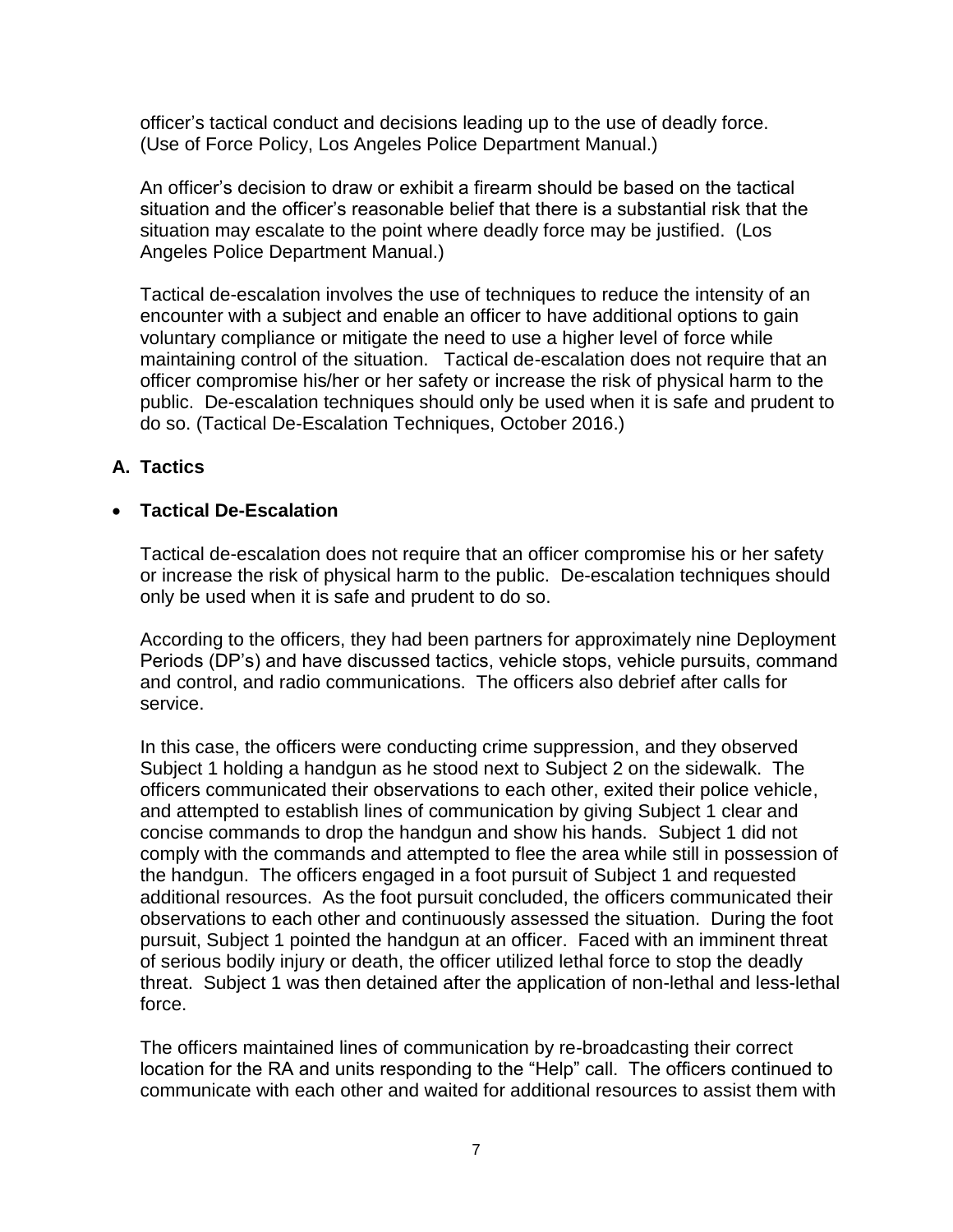officer's tactical conduct and decisions leading up to the use of deadly force. (Use of Force Policy, Los Angeles Police Department Manual.)

An officer's decision to draw or exhibit a firearm should be based on the tactical situation and the officer's reasonable belief that there is a substantial risk that the situation may escalate to the point where deadly force may be justified. (Los Angeles Police Department Manual.)

Tactical de-escalation involves the use of techniques to reduce the intensity of an encounter with a subject and enable an officer to have additional options to gain voluntary compliance or mitigate the need to use a higher level of force while maintaining control of the situation. Tactical de-escalation does not require that an officer compromise his/her or her safety or increase the risk of physical harm to the public. De-escalation techniques should only be used when it is safe and prudent to do so. (Tactical De-Escalation Techniques, October 2016.)

## **A. Tactics**

### • **Tactical De-Escalation**

Tactical de-escalation does not require that an officer compromise his or her safety or increase the risk of physical harm to the public. De-escalation techniques should only be used when it is safe and prudent to do so.

According to the officers, they had been partners for approximately nine Deployment Periods (DP's) and have discussed tactics, vehicle stops, vehicle pursuits, command and control, and radio communications. The officers also debrief after calls for service.

In this case, the officers were conducting crime suppression, and they observed Subject 1 holding a handgun as he stood next to Subject 2 on the sidewalk. The officers communicated their observations to each other, exited their police vehicle, and attempted to establish lines of communication by giving Subject 1 clear and concise commands to drop the handgun and show his hands. Subject 1 did not comply with the commands and attempted to flee the area while still in possession of the handgun. The officers engaged in a foot pursuit of Subject 1 and requested additional resources. As the foot pursuit concluded, the officers communicated their observations to each other and continuously assessed the situation. During the foot pursuit, Subject 1 pointed the handgun at an officer. Faced with an imminent threat of serious bodily injury or death, the officer utilized lethal force to stop the deadly threat. Subject 1 was then detained after the application of non-lethal and less-lethal force.

The officers maintained lines of communication by re-broadcasting their correct location for the RA and units responding to the "Help" call. The officers continued to communicate with each other and waited for additional resources to assist them with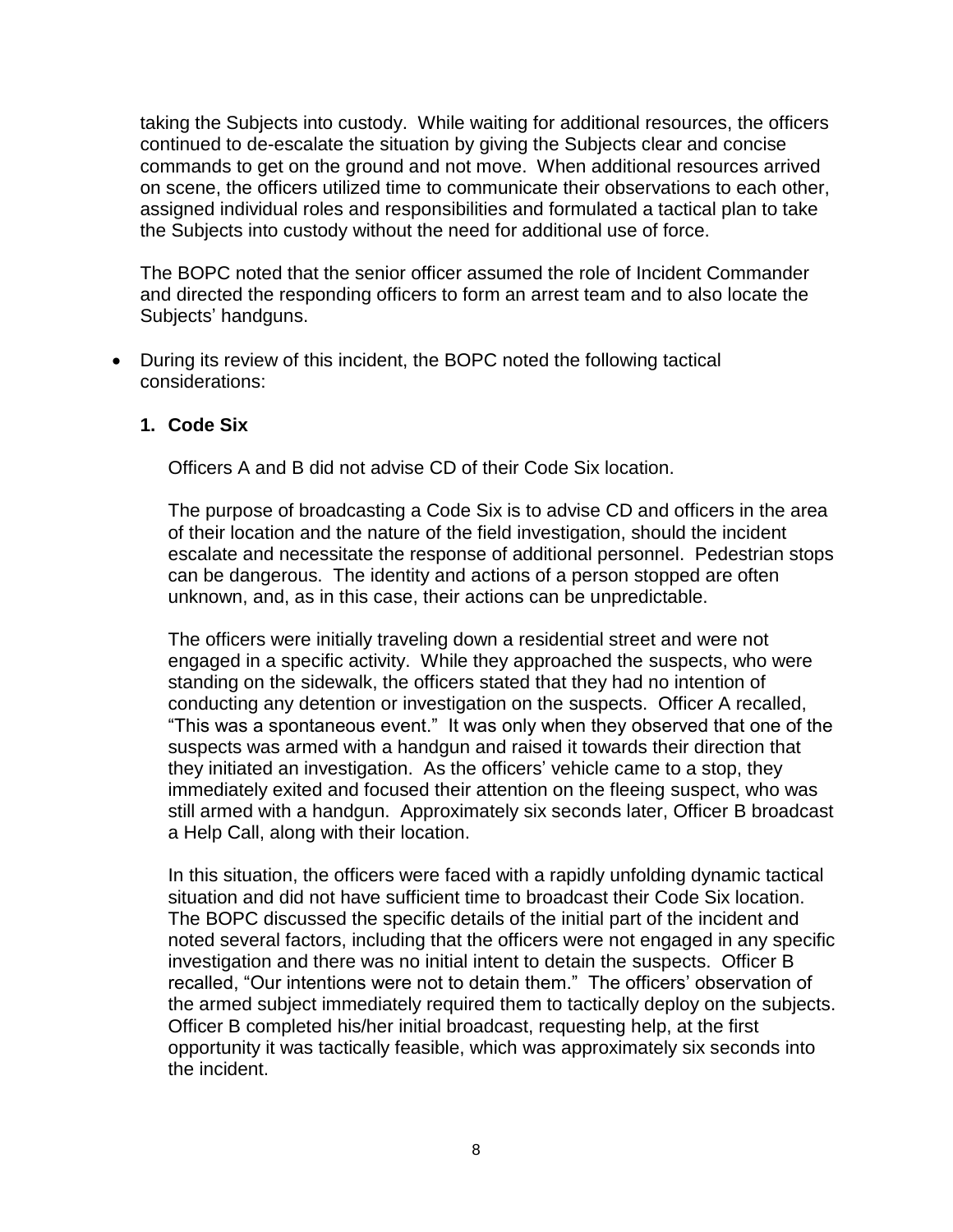taking the Subjects into custody. While waiting for additional resources, the officers continued to de-escalate the situation by giving the Subjects clear and concise commands to get on the ground and not move. When additional resources arrived on scene, the officers utilized time to communicate their observations to each other, assigned individual roles and responsibilities and formulated a tactical plan to take the Subjects into custody without the need for additional use of force.

The BOPC noted that the senior officer assumed the role of Incident Commander and directed the responding officers to form an arrest team and to also locate the Subjects' handguns.

• During its review of this incident, the BOPC noted the following tactical considerations:

#### **1. Code Six**

Officers A and B did not advise CD of their Code Six location.

The purpose of broadcasting a Code Six is to advise CD and officers in the area of their location and the nature of the field investigation, should the incident escalate and necessitate the response of additional personnel. Pedestrian stops can be dangerous. The identity and actions of a person stopped are often unknown, and, as in this case, their actions can be unpredictable.

The officers were initially traveling down a residential street and were not engaged in a specific activity. While they approached the suspects, who were standing on the sidewalk, the officers stated that they had no intention of conducting any detention or investigation on the suspects. Officer A recalled, "This was a spontaneous event." It was only when they observed that one of the suspects was armed with a handgun and raised it towards their direction that they initiated an investigation. As the officers' vehicle came to a stop, they immediately exited and focused their attention on the fleeing suspect, who was still armed with a handgun. Approximately six seconds later, Officer B broadcast a Help Call, along with their location.

In this situation, the officers were faced with a rapidly unfolding dynamic tactical situation and did not have sufficient time to broadcast their Code Six location. The BOPC discussed the specific details of the initial part of the incident and noted several factors, including that the officers were not engaged in any specific investigation and there was no initial intent to detain the suspects. Officer B recalled, "Our intentions were not to detain them." The officers' observation of the armed subject immediately required them to tactically deploy on the subjects. Officer B completed his/her initial broadcast, requesting help, at the first opportunity it was tactically feasible, which was approximately six seconds into the incident.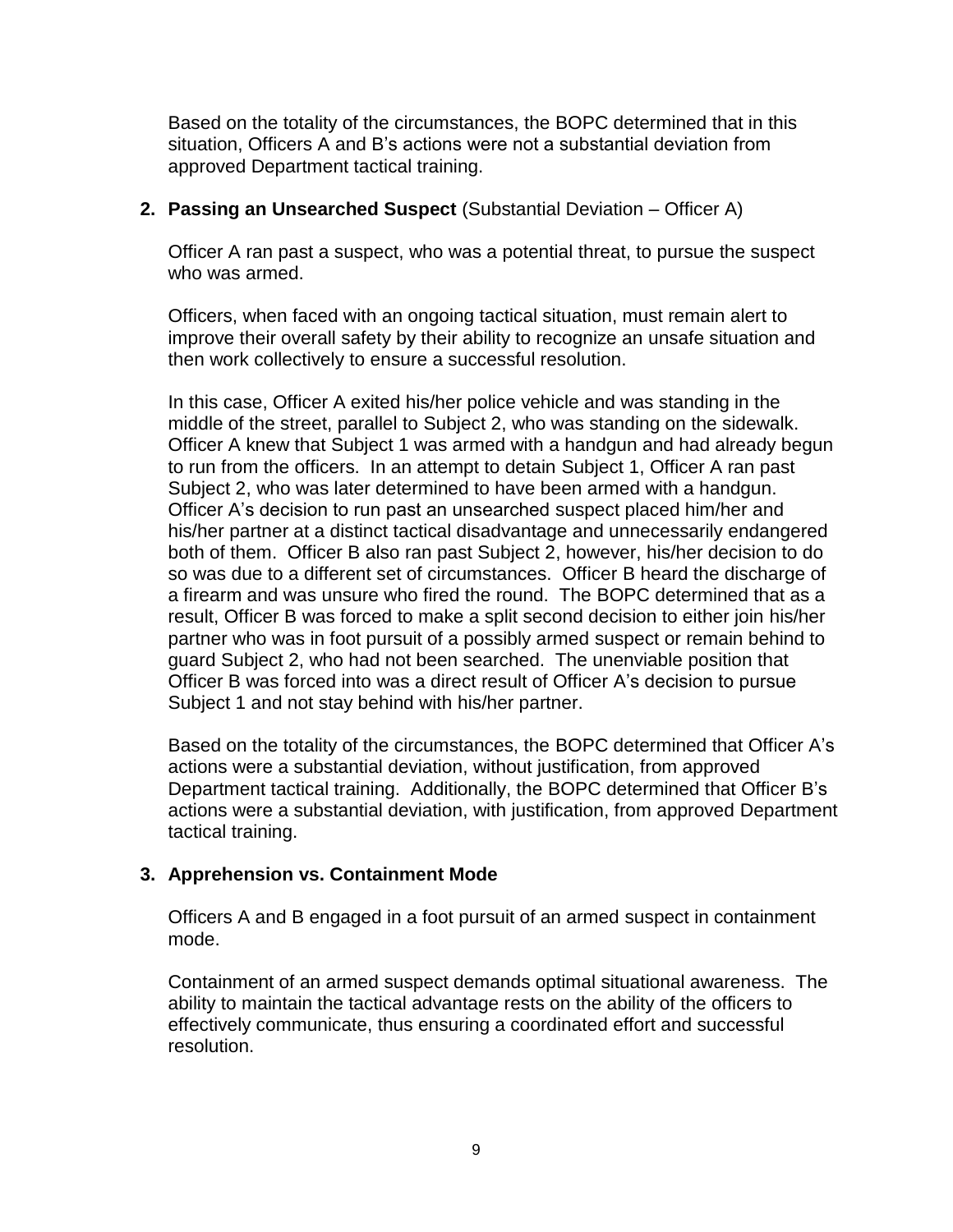Based on the totality of the circumstances, the BOPC determined that in this situation, Officers A and B's actions were not a substantial deviation from approved Department tactical training.

### **2. Passing an Unsearched Suspect** (Substantial Deviation – Officer A)

Officer A ran past a suspect, who was a potential threat, to pursue the suspect who was armed.

Officers, when faced with an ongoing tactical situation, must remain alert to improve their overall safety by their ability to recognize an unsafe situation and then work collectively to ensure a successful resolution.

In this case, Officer A exited his/her police vehicle and was standing in the middle of the street, parallel to Subject 2, who was standing on the sidewalk. Officer A knew that Subject 1 was armed with a handgun and had already begun to run from the officers. In an attempt to detain Subject 1, Officer A ran past Subject 2, who was later determined to have been armed with a handgun. Officer A's decision to run past an unsearched suspect placed him/her and his/her partner at a distinct tactical disadvantage and unnecessarily endangered both of them. Officer B also ran past Subject 2, however, his/her decision to do so was due to a different set of circumstances. Officer B heard the discharge of a firearm and was unsure who fired the round. The BOPC determined that as a result, Officer B was forced to make a split second decision to either join his/her partner who was in foot pursuit of a possibly armed suspect or remain behind to guard Subject 2, who had not been searched. The unenviable position that Officer B was forced into was a direct result of Officer A's decision to pursue Subject 1 and not stay behind with his/her partner.

Based on the totality of the circumstances, the BOPC determined that Officer A's actions were a substantial deviation, without justification, from approved Department tactical training. Additionally, the BOPC determined that Officer B's actions were a substantial deviation, with justification, from approved Department tactical training.

## **3. Apprehension vs. Containment Mode**

Officers A and B engaged in a foot pursuit of an armed suspect in containment mode.

Containment of an armed suspect demands optimal situational awareness. The ability to maintain the tactical advantage rests on the ability of the officers to effectively communicate, thus ensuring a coordinated effort and successful resolution.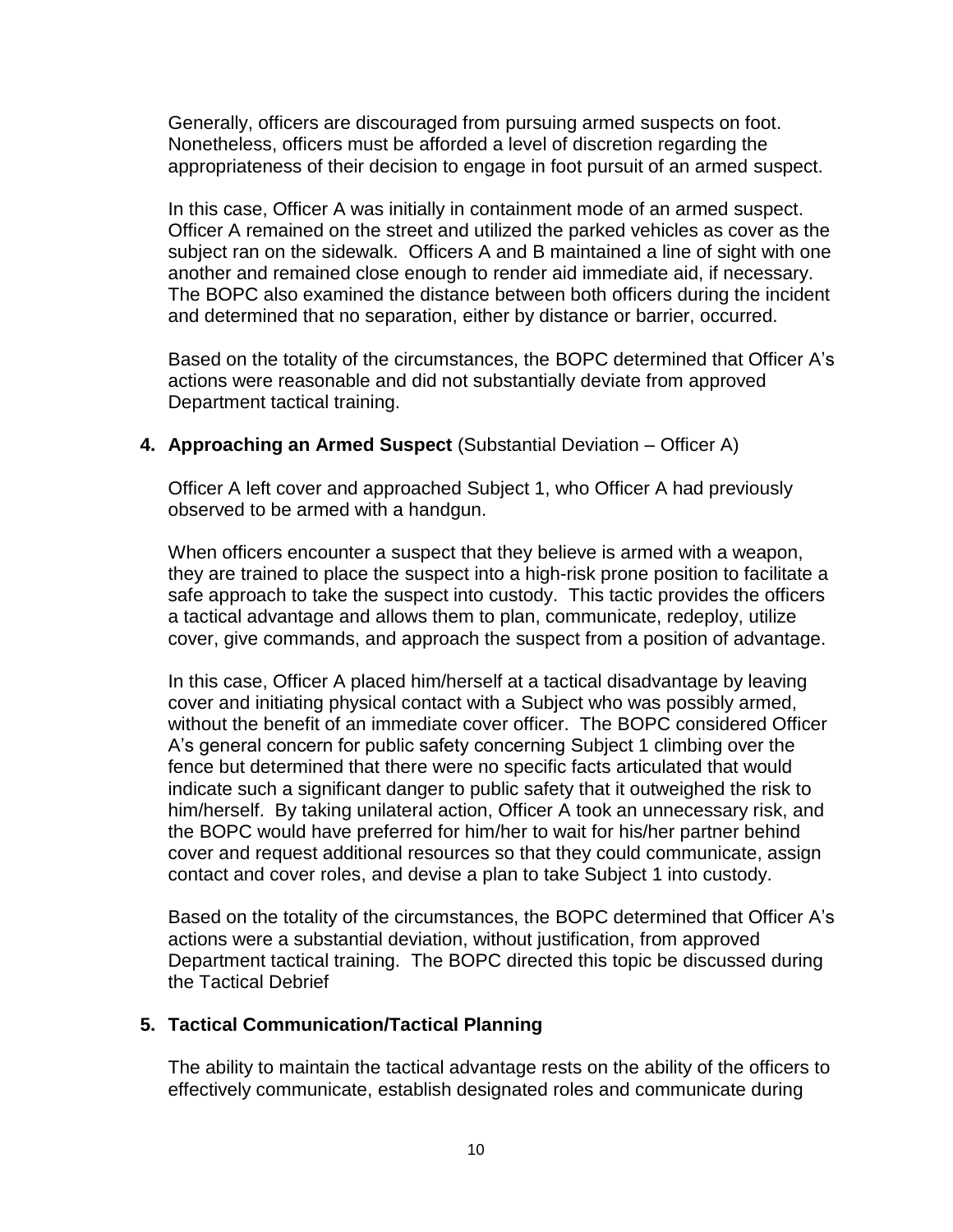Generally, officers are discouraged from pursuing armed suspects on foot. Nonetheless, officers must be afforded a level of discretion regarding the appropriateness of their decision to engage in foot pursuit of an armed suspect.

In this case, Officer A was initially in containment mode of an armed suspect. Officer A remained on the street and utilized the parked vehicles as cover as the subject ran on the sidewalk. Officers A and B maintained a line of sight with one another and remained close enough to render aid immediate aid, if necessary. The BOPC also examined the distance between both officers during the incident and determined that no separation, either by distance or barrier, occurred.

Based on the totality of the circumstances, the BOPC determined that Officer A's actions were reasonable and did not substantially deviate from approved Department tactical training.

## **4. Approaching an Armed Suspect** (Substantial Deviation – Officer A)

Officer A left cover and approached Subject 1, who Officer A had previously observed to be armed with a handgun.

When officers encounter a suspect that they believe is armed with a weapon, they are trained to place the suspect into a high-risk prone position to facilitate a safe approach to take the suspect into custody. This tactic provides the officers a tactical advantage and allows them to plan, communicate, redeploy, utilize cover, give commands, and approach the suspect from a position of advantage.

In this case, Officer A placed him/herself at a tactical disadvantage by leaving cover and initiating physical contact with a Subject who was possibly armed, without the benefit of an immediate cover officer. The BOPC considered Officer A's general concern for public safety concerning Subject 1 climbing over the fence but determined that there were no specific facts articulated that would indicate such a significant danger to public safety that it outweighed the risk to him/herself. By taking unilateral action, Officer A took an unnecessary risk, and the BOPC would have preferred for him/her to wait for his/her partner behind cover and request additional resources so that they could communicate, assign contact and cover roles, and devise a plan to take Subject 1 into custody.

Based on the totality of the circumstances, the BOPC determined that Officer A's actions were a substantial deviation, without justification, from approved Department tactical training. The BOPC directed this topic be discussed during the Tactical Debrief

## **5. Tactical Communication/Tactical Planning**

The ability to maintain the tactical advantage rests on the ability of the officers to effectively communicate, establish designated roles and communicate during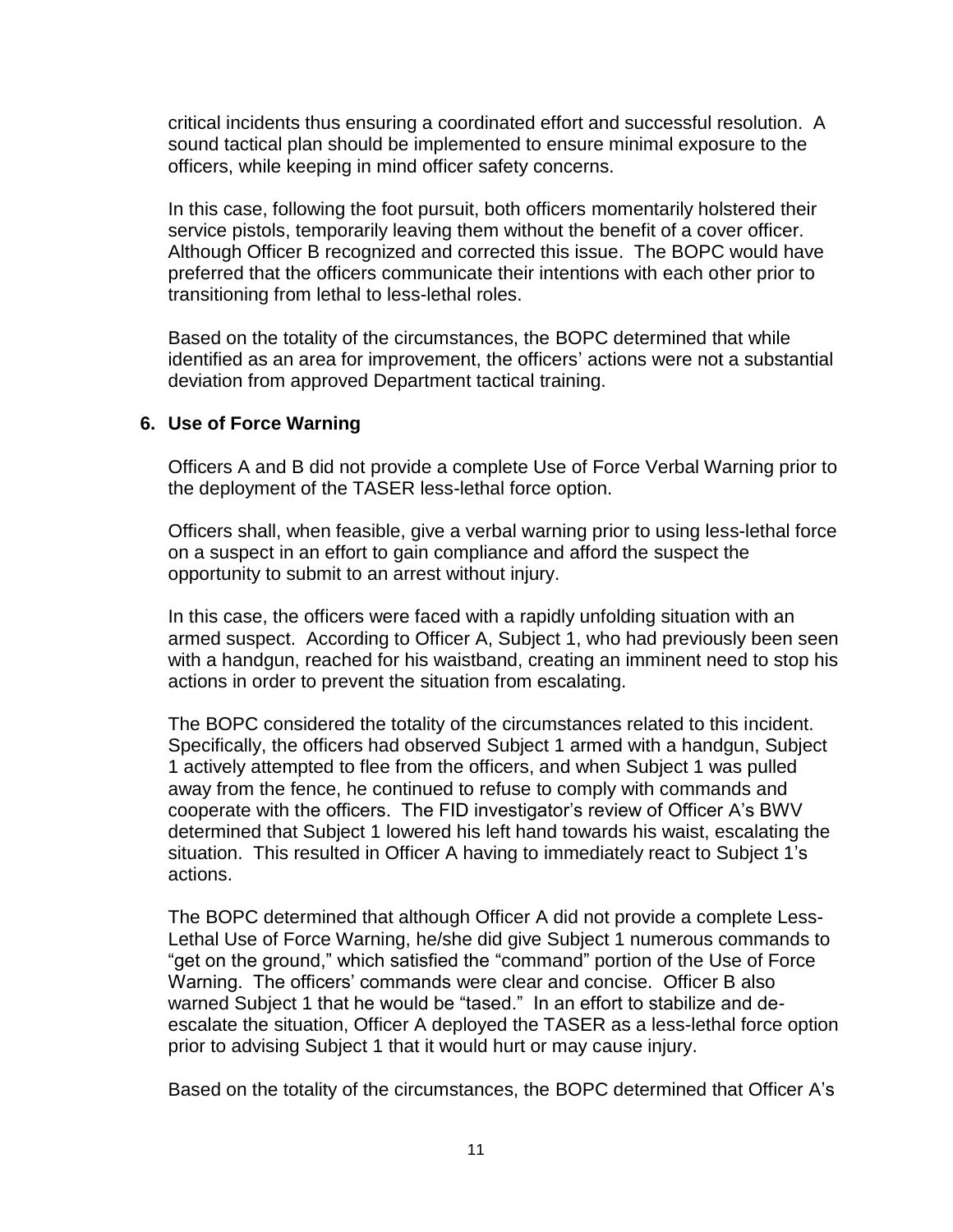critical incidents thus ensuring a coordinated effort and successful resolution. A sound tactical plan should be implemented to ensure minimal exposure to the officers, while keeping in mind officer safety concerns.

In this case, following the foot pursuit, both officers momentarily holstered their service pistols, temporarily leaving them without the benefit of a cover officer. Although Officer B recognized and corrected this issue. The BOPC would have preferred that the officers communicate their intentions with each other prior to transitioning from lethal to less-lethal roles.

Based on the totality of the circumstances, the BOPC determined that while identified as an area for improvement, the officers' actions were not a substantial deviation from approved Department tactical training.

### **6. Use of Force Warning**

Officers A and B did not provide a complete Use of Force Verbal Warning prior to the deployment of the TASER less-lethal force option.

Officers shall, when feasible, give a verbal warning prior to using less-lethal force on a suspect in an effort to gain compliance and afford the suspect the opportunity to submit to an arrest without injury.

In this case, the officers were faced with a rapidly unfolding situation with an armed suspect. According to Officer A, Subject 1, who had previously been seen with a handgun, reached for his waistband, creating an imminent need to stop his actions in order to prevent the situation from escalating.

The BOPC considered the totality of the circumstances related to this incident. Specifically, the officers had observed Subject 1 armed with a handgun, Subject 1 actively attempted to flee from the officers, and when Subject 1 was pulled away from the fence, he continued to refuse to comply with commands and cooperate with the officers. The FID investigator's review of Officer A's BWV determined that Subject 1 lowered his left hand towards his waist, escalating the situation. This resulted in Officer A having to immediately react to Subject 1's actions.

The BOPC determined that although Officer A did not provide a complete Less-Lethal Use of Force Warning, he/she did give Subject 1 numerous commands to "get on the ground," which satisfied the "command" portion of the Use of Force Warning. The officers' commands were clear and concise. Officer B also warned Subject 1 that he would be "tased." In an effort to stabilize and deescalate the situation, Officer A deployed the TASER as a less-lethal force option prior to advising Subject 1 that it would hurt or may cause injury.

Based on the totality of the circumstances, the BOPC determined that Officer A's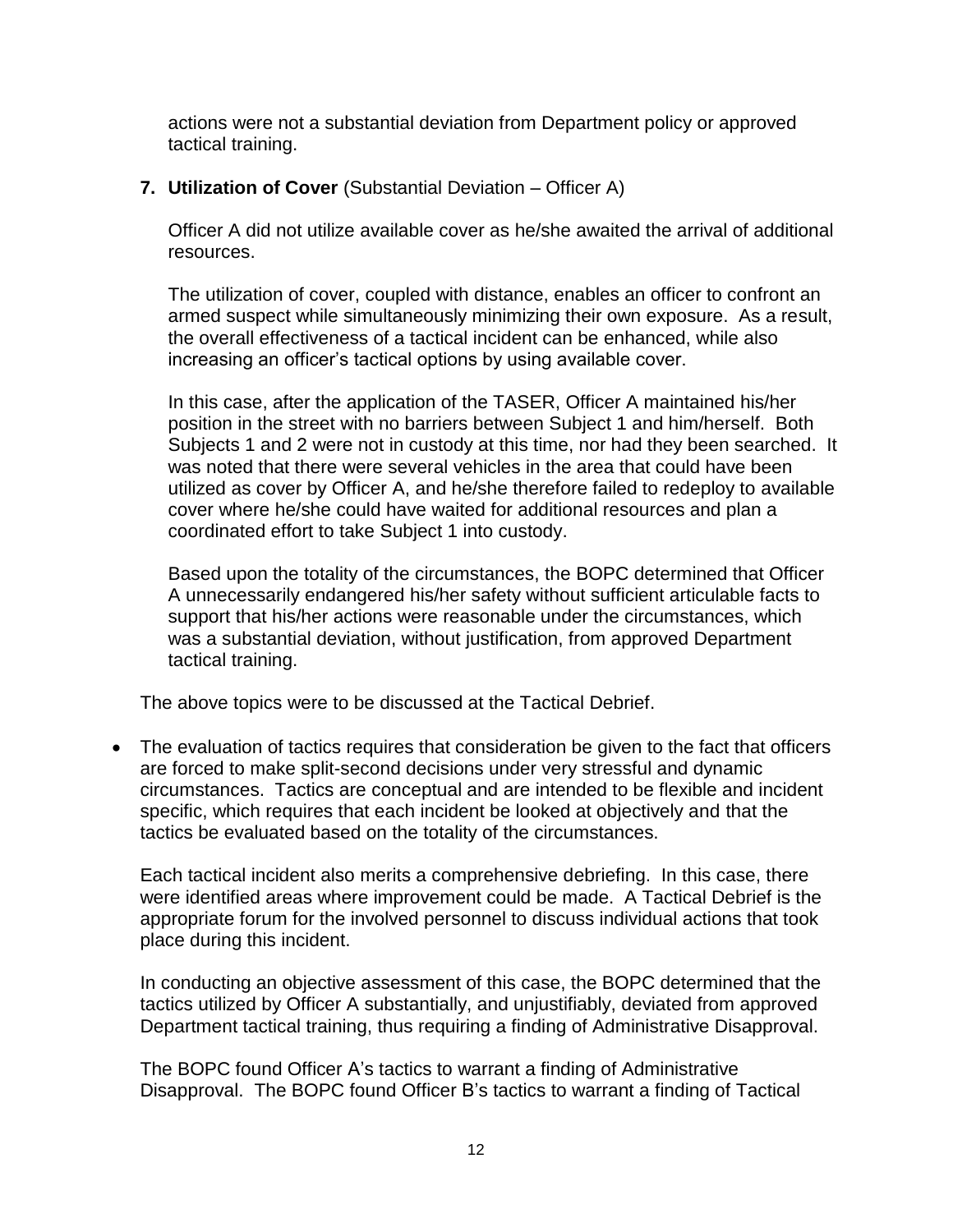actions were not a substantial deviation from Department policy or approved tactical training.

### **7. Utilization of Cover** (Substantial Deviation – Officer A)

Officer A did not utilize available cover as he/she awaited the arrival of additional resources.

The utilization of cover, coupled with distance, enables an officer to confront an armed suspect while simultaneously minimizing their own exposure. As a result, the overall effectiveness of a tactical incident can be enhanced, while also increasing an officer's tactical options by using available cover.

In this case, after the application of the TASER, Officer A maintained his/her position in the street with no barriers between Subject 1 and him/herself. Both Subjects 1 and 2 were not in custody at this time, nor had they been searched. It was noted that there were several vehicles in the area that could have been utilized as cover by Officer A, and he/she therefore failed to redeploy to available cover where he/she could have waited for additional resources and plan a coordinated effort to take Subject 1 into custody.

Based upon the totality of the circumstances, the BOPC determined that Officer A unnecessarily endangered his/her safety without sufficient articulable facts to support that his/her actions were reasonable under the circumstances, which was a substantial deviation, without justification, from approved Department tactical training.

The above topics were to be discussed at the Tactical Debrief.

• The evaluation of tactics requires that consideration be given to the fact that officers are forced to make split-second decisions under very stressful and dynamic circumstances. Tactics are conceptual and are intended to be flexible and incident specific, which requires that each incident be looked at objectively and that the tactics be evaluated based on the totality of the circumstances.

Each tactical incident also merits a comprehensive debriefing. In this case, there were identified areas where improvement could be made. A Tactical Debrief is the appropriate forum for the involved personnel to discuss individual actions that took place during this incident.

In conducting an objective assessment of this case, the BOPC determined that the tactics utilized by Officer A substantially, and unjustifiably, deviated from approved Department tactical training, thus requiring a finding of Administrative Disapproval.

The BOPC found Officer A's tactics to warrant a finding of Administrative Disapproval. The BOPC found Officer B's tactics to warrant a finding of Tactical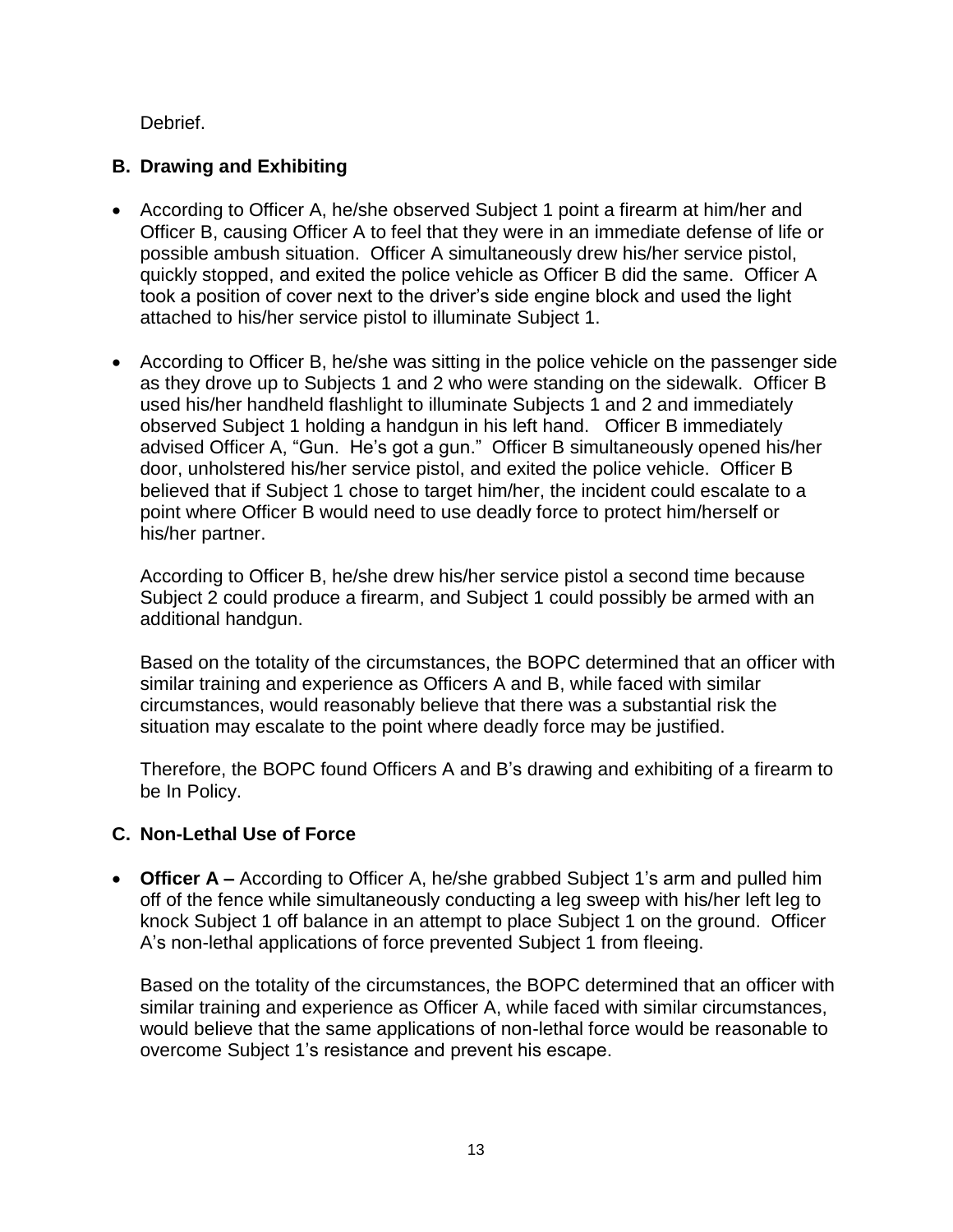Debrief.

## **B. Drawing and Exhibiting**

- According to Officer A, he/she observed Subject 1 point a firearm at him/her and Officer B, causing Officer A to feel that they were in an immediate defense of life or possible ambush situation. Officer A simultaneously drew his/her service pistol, quickly stopped, and exited the police vehicle as Officer B did the same. Officer A took a position of cover next to the driver's side engine block and used the light attached to his/her service pistol to illuminate Subject 1.
- According to Officer B, he/she was sitting in the police vehicle on the passenger side as they drove up to Subjects 1 and 2 who were standing on the sidewalk. Officer B used his/her handheld flashlight to illuminate Subjects 1 and 2 and immediately observed Subject 1 holding a handgun in his left hand. Officer B immediately advised Officer A, "Gun. He's got a gun." Officer B simultaneously opened his/her door, unholstered his/her service pistol, and exited the police vehicle. Officer B believed that if Subject 1 chose to target him/her, the incident could escalate to a point where Officer B would need to use deadly force to protect him/herself or his/her partner.

According to Officer B, he/she drew his/her service pistol a second time because Subject 2 could produce a firearm, and Subject 1 could possibly be armed with an additional handgun.

Based on the totality of the circumstances, the BOPC determined that an officer with similar training and experience as Officers A and B, while faced with similar circumstances, would reasonably believe that there was a substantial risk the situation may escalate to the point where deadly force may be justified.

Therefore, the BOPC found Officers A and B's drawing and exhibiting of a firearm to be In Policy.

# **C. Non-Lethal Use of Force**

• **Officer A** – According to Officer A, he/she grabbed Subject 1's arm and pulled him off of the fence while simultaneously conducting a leg sweep with his/her left leg to knock Subject 1 off balance in an attempt to place Subject 1 on the ground. Officer A's non-lethal applications of force prevented Subject 1 from fleeing.

Based on the totality of the circumstances, the BOPC determined that an officer with similar training and experience as Officer A, while faced with similar circumstances, would believe that the same applications of non-lethal force would be reasonable to overcome Subject 1's resistance and prevent his escape.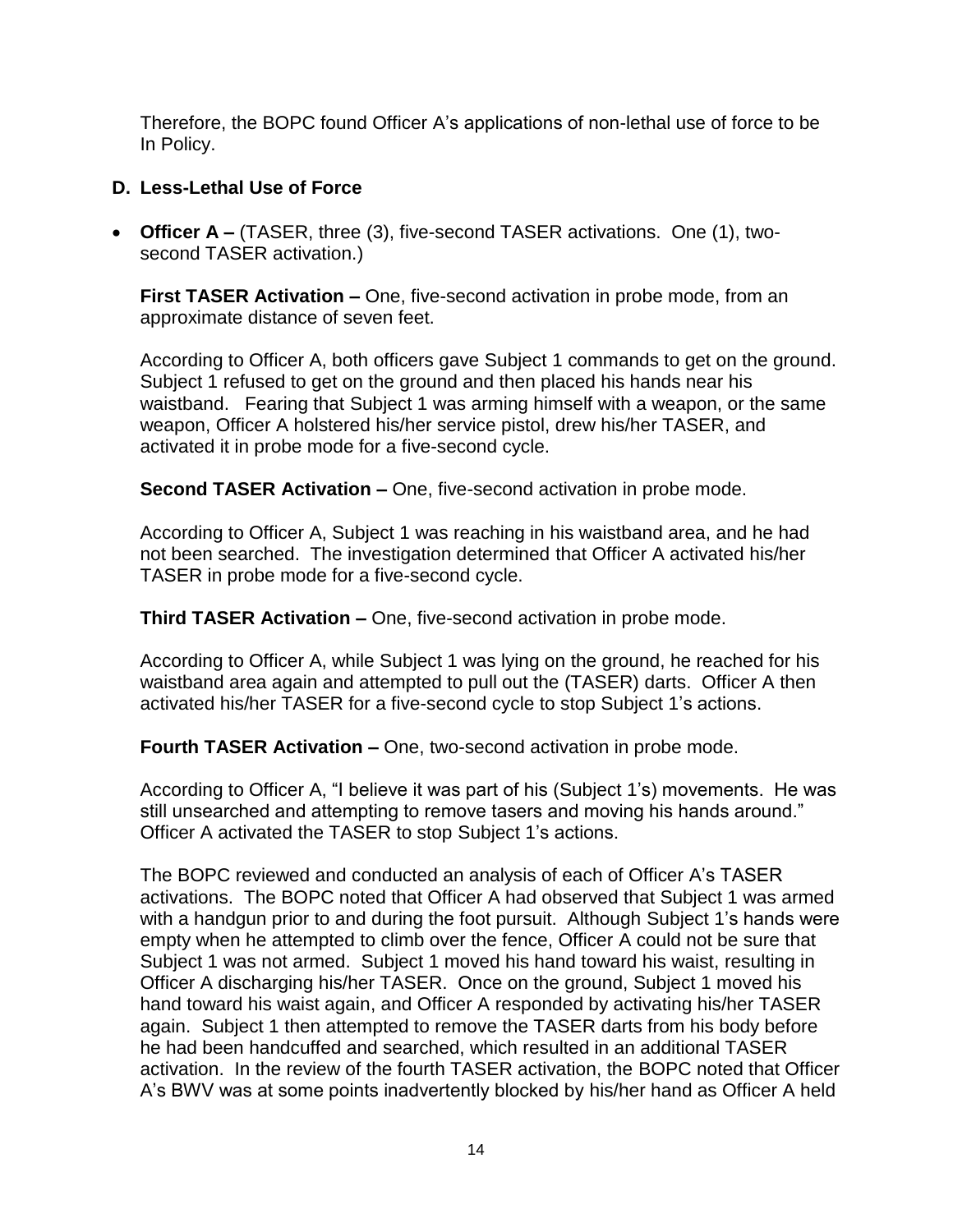Therefore, the BOPC found Officer A's applications of non-lethal use of force to be In Policy.

## **D. Less-Lethal Use of Force**

• **Officer A –** (TASER, three (3), five-second TASER activations. One (1), twosecond TASER activation.)

**First TASER Activation –** One, five-second activation in probe mode, from an approximate distance of seven feet.

According to Officer A, both officers gave Subject 1 commands to get on the ground. Subject 1 refused to get on the ground and then placed his hands near his waistband. Fearing that Subject 1 was arming himself with a weapon, or the same weapon, Officer A holstered his/her service pistol, drew his/her TASER, and activated it in probe mode for a five-second cycle.

**Second TASER Activation –** One, five-second activation in probe mode.

According to Officer A, Subject 1 was reaching in his waistband area, and he had not been searched. The investigation determined that Officer A activated his/her TASER in probe mode for a five-second cycle.

**Third TASER Activation –** One, five-second activation in probe mode.

According to Officer A, while Subject 1 was lying on the ground, he reached for his waistband area again and attempted to pull out the (TASER) darts. Officer A then activated his/her TASER for a five-second cycle to stop Subject 1's actions.

**Fourth TASER Activation –** One, two-second activation in probe mode.

According to Officer A, "I believe it was part of his (Subject 1's) movements. He was still unsearched and attempting to remove tasers and moving his hands around." Officer A activated the TASER to stop Subject 1's actions.

The BOPC reviewed and conducted an analysis of each of Officer A's TASER activations. The BOPC noted that Officer A had observed that Subject 1 was armed with a handgun prior to and during the foot pursuit. Although Subject 1's hands were empty when he attempted to climb over the fence, Officer A could not be sure that Subject 1 was not armed. Subject 1 moved his hand toward his waist, resulting in Officer A discharging his/her TASER. Once on the ground, Subject 1 moved his hand toward his waist again, and Officer A responded by activating his/her TASER again. Subject 1 then attempted to remove the TASER darts from his body before he had been handcuffed and searched, which resulted in an additional TASER activation. In the review of the fourth TASER activation, the BOPC noted that Officer A's BWV was at some points inadvertently blocked by his/her hand as Officer A held